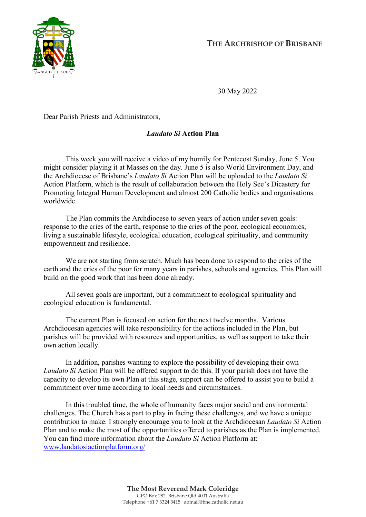

**THE ARCHBISHOP OF BRISBANE**

30 May 2022

Dear Parish Priests and Administrators,

## *Laudato Si* **Action Plan**

This week you will receive a video of my homily for Pentecost Sunday, June 5. You might consider playing it at Masses on the day. June 5 is also World Environment Day, and the Archdiocese of Brisbane's *Laudato Si* Action Plan will be uploaded to the *Laudato Si* Action Platform, which is the result of collaboration between the Holy See's Dicastery for Promoting Integral Human Development and almost 200 Catholic bodies and organisations worldwide.

The Plan commits the Archdiocese to seven years of action under seven goals: response to the cries of the earth, response to the cries of the poor, ecological economics, living a sustainable lifestyle, ecological education, ecological spirituality, and community empowerment and resilience.

We are not starting from scratch. Much has been done to respond to the cries of the earth and the cries of the poor for many years in parishes, schools and agencies. This Plan will build on the good work that has been done already.

All seven goals are important, but a commitment to ecological spirituality and ecological education is fundamental.

The current Plan is focused on action for the next twelve months. Various Archdiocesan agencies will take responsibility for the actions included in the Plan, but parishes will be provided with resources and opportunities, as well as support to take their own action locally.

In addition, parishes wanting to explore the possibility of developing their own *Laudato Si* Action Plan will be offered support to do this. If your parish does not have the capacity to develop its own Plan at this stage, support can be offered to assist you to build a commitment over time according to local needs and circumstances.

In this troubled time, the whole of humanity faces major social and environmental challenges. The Church has a part to play in facing these challenges, and we have a unique contribution to make. I strongly encourage you to look at the Archdiocesan *Laudato Si* Action Plan and to make the most of the opportunities offered to parishes as the Plan is implemented. You can find more information about the *Laudato Si* Action Platform at: [www.laudatosiactionplatform.org/](http://www.laudatosiactionplatform.org/)